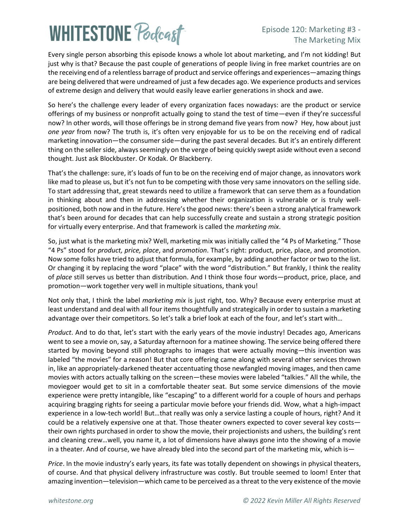# **WHITESTONE Poclast**

### Episode 120: Marketing #3 - The Marketing Mix

Every single person absorbing this episode knows a whole lot about marketing, and I'm not kidding! But just why is that? Because the past couple of generations of people living in free market countries are on the receiving end of a relentless barrage of product and service offerings and experiences—amazing things are being delivered that were undreamed of just a few decades ago. We experience products and services of extreme design and delivery that would easily leave earlier generations in shock and awe.

So here's the challenge every leader of every organization faces nowadays: are the product or service offerings of my business or nonprofit actually going to stand the test of time—even if they're successful now? In other words, will those offerings be in strong demand five years from now? Hey, how about just *one year* from now? The truth is, it's often very enjoyable for us to be on the receiving end of radical marketing innovation—the consumer side—during the past several decades. But it's an entirely different thing on the seller side, always seemingly on the verge of being quickly swept aside without even a second thought. Just ask Blockbuster. Or Kodak. Or Blackberry.

That's the challenge: sure, it's loads of fun to be on the receiving end of major change, as innovators work like mad to please us, but it's not fun to be competing with those very same innovators on the selling side. To start addressing that, great stewards need to utilize a framework that can serve them as a foundation in thinking about and then in addressing whether their organization is vulnerable or is truly wellpositioned, both now and in the future. Here's the good news: there's been a strong analytical framework that's been around for decades that can help successfully create and sustain a strong strategic position for virtually every enterprise. And that framework is called the *marketing mix*.

So, just what is the marketing mix? Well, marketing mix was initially called the "4 Ps of Marketing." Those "4 Ps" stood for *product, price, place*, and *promotion*. That's right: product, price, place, and promotion. Now some folks have tried to adjust that formula, for example, by adding another factor or two to the list. Or changing it by replacing the word "place" with the word "distribution." But frankly, I think the reality of *place* still serves us better than distribution. And I think those four words—product, price, place, and promotion—work together very well in multiple situations, thank you!

Not only that, I think the label *marketing mix* is just right, too. Why? Because every enterprise must at least understand and deal with all four items thoughtfully and strategically in order to sustain a marketing advantage over their competitors. So let's talk a brief look at each of the four, and let's start with…

*Product*. And to do that, let's start with the early years of the movie industry! Decades ago, Americans went to see a movie on, say, a Saturday afternoon for a matinee showing. The service being offered there started by moving beyond still photographs to images that were actually moving—this invention was labeled "the movies" for a reason! But that core offering came along with several other services thrown in, like an appropriately-darkened theater accentuating those newfangled moving images, and then came movies with actors actually talking on the screen—these movies were labeled "talkies." All the while, the moviegoer would get to sit in a comfortable theater seat. But some service dimensions of the movie experience were pretty intangible, like "escaping" to a different world for a couple of hours and perhaps acquiring bragging rights for seeing a particular movie before your friends did. Wow, what a high-impact experience in a low-tech world! But…that really was only a service lasting a couple of hours, right? And it could be a relatively expensive one at that. Those theater owners expected to cover several key costs their own rights purchased in order to show the movie, their projectionists and ushers, the building's rent and cleaning crew…well, you name it, a lot of dimensions have always gone into the showing of a movie in a theater. And of course, we have already bled into the second part of the marketing mix, which is—

*Price*. In the movie industry's early years, its fate was totally dependent on showings in physical theaters, of course. And that physical delivery infrastructure was costly. But trouble seemed to loom! Enter that amazing invention—television—which came to be perceived as a threat to the very existence of the movie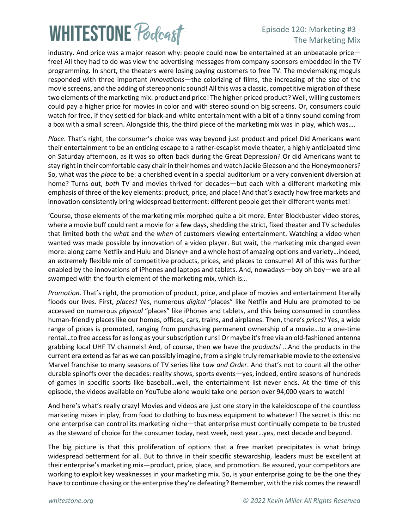## **WHITESTONE Poclast**

### Episode 120: Marketing #3 - The Marketing Mix

industry. And price was a major reason why: people could now be entertained at an unbeatable price free! All they had to do was view the advertising messages from company sponsors embedded in the TV programming. In short, the theaters were losing paying customers to free TV. The moviemaking moguls responded with three important *innovations*—the colorizing of films, the increasing of the size of the movie screens, and the adding of stereophonic sound! All this was a classic, competitive migration of these two elements of the marketing mix: product and price! The higher-priced product? Well, willing customers could pay a higher price for movies in color and with stereo sound on big screens. Or, consumers could watch for free, if they settled for black-and-white entertainment with a bit of a tinny sound coming from a box with a small screen. Alongside this, the third piece of the marketing mix was in play, which was….

*Place*. That's right, the consumer's choice was way beyond just product and price! Did Americans want their entertainment to be an enticing escape to a rather-escapist movie theater, a highly anticipated time on Saturday afternoon, as it was so often back during the Great Depression? Or did Americans want to stay right in their comfortable easy chair in their homes and watch Jackie Gleason and the Honeymooners? So, what was the *place* to be: a cherished event in a special auditorium or a very convenient diversion at home? Turns out, *both* TV and movies thrived for decades—but each with a different marketing mix emphasis of three of the key elements: product, price, and place! And that's exactly how free markets and innovation consistently bring widespread betterment: different people get their different wants met!

'Course, those elements of the marketing mix morphed quite a bit more. Enter Blockbuster video stores, where a movie buff could rent a movie for a few days, shedding the strict, fixed theater and TV schedules that limited both the *what* and the *when* of customers viewing entertainment. Watching a video when wanted was made possible by innovation of a video player. But wait, the marketing mix changed even more: along came Netflix and Hulu and Disney+ and a whole host of amazing options and variety…indeed, an extremely flexible mix of competitive products, prices, and places to consume! All of this was further enabled by the innovations of iPhones and laptops and tablets. And, nowadays—boy oh boy—we are all swamped with the fourth element of the marketing mix, which is…

*Promotion*. That's right, the promotion of product, price, and place of movies and entertainment literally floods our lives. First, *places!* Yes, numerous *digital* "places" like Netflix and Hulu are promoted to be accessed on numerous *physical* "places" like iPhones and tablets, and this being consumed in countless human-friendly places like our homes, offices, cars, trains, and airplanes. Then, there's *prices!* Yes, a wide range of prices is promoted, ranging from purchasing permanent ownership of a movie…to a one-time rental…to free access for as long as your subscription runs! Or maybe it's free via an old-fashioned antenna grabbing local UHF TV channels! And, of course, then we have the *products!* …And the products in the current era extend asfar as we can possibly imagine, from a single truly remarkable movie to the extensive Marvel franchise to many seasons of TV series like *Law and Order*. And that's not to count all the other durable spinoffs over the decades: reality shows, sports events—yes, indeed, entire seasons of hundreds of games in specific sports like baseball…well, the entertainment list never ends. At the time of this episode, the videos available on YouTube alone would take one person over 94,000 years to watch!

And here's what's really crazy! Movies and videos are just one story in the kaleidoscope of the countless marketing mixes in play, from food to clothing to business equipment to whatever! The secret is this: no one enterprise can control its marketing niche—that enterprise must continually compete to be trusted as the steward of choice for the consumer today, next week, next year…yes, next decade and beyond.

The big picture is that this proliferation of options that a free market precipitates is what brings widespread betterment for all. But to thrive in their specific stewardship, leaders must be excellent at their enterprise's marketing mix—product, price, place, and promotion. Be assured, your competitors are working to exploit key weaknesses in your marketing mix. So, is your enterprise going to be the one they have to continue chasing or the enterprise they're defeating? Remember, with the risk comes the reward!